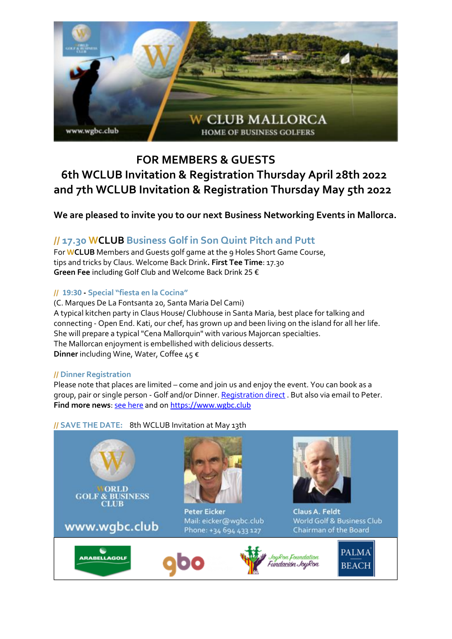

# **FOR MEMBERS & GUESTS 6th WCLUB Invitation & Registration Thursday April 28th 2022 and 7th WCLUB Invitation & Registration Thursday May 5th 2022**

**We are pleased to invite you to our next Business Networking Events in Mallorca.**

# **// 17.30 WCLUB Business Golf in Son Quint Pitch and Putt**

For **WCLUB** Members and Guests golf game at the 9 Holes Short Game Course, tips and tricks by Claus. Welcome Back Drink**. First Tee Time**: 17.30 **Green Fee** including Golf Club and Welcome Back Drink 25 €

## **// 19:30 - Special "fiesta en la Cocina"**

(C. Marques De La Fontsanta 20, Santa Maria Del Cami) A typical kitchen party in Claus House/ Clubhouse in Santa Maria, best place for talking and connecting - Open End. Kati, our chef, has grown up and been living on the island for all her life. She will prepare a typical "Cena Mallorquin" with various Majorcan specialties. The Mallorcan enjoyment is embellished with delicious desserts. **Dinner** including Wine, Water, Coffee 45 €

### **// Dinner Registration**

Please note that places are limited – come and join us and enjoy the event. You can book as a group, pair or single person - Golf and/or Dinner[. Registration direct](https://04bad164-ac87-4d7c-b7a1-c93e41f62870.pipedrive.email/c/wy5xrz8gke/wy55n1q3gy/xzyrn9924w/0?redirectUrl=https%3A%2F%2Fwww.wgbc.club%2Fwclub-mallorca-application-for-events-tournaments%2F) . But also via email to Peter. **Find more news**: [see here](https://04bad164-ac87-4d7c-b7a1-c93e41f62870.pipedrive.email/c/wy5xrz8gke/wy55n1q3gy/xzyrn9924w/1?redirectUrl=https%3A%2F%2Fcloud.wgbc.club%2FWCLUB_Mallorca-Newsletter_01-22) and o[n https://www.wgbc.club](https://04bad164-ac87-4d7c-b7a1-c93e41f62870.pipedrive.email/c/wy5xrz8gke/wy55n1q3gy/xzyrn9924w/2?redirectUrl=https%3A%2F%2Fwww.wgbc.club)

### **// SAVE THE DATE:** 8th WCLUB Invitation at May 13th